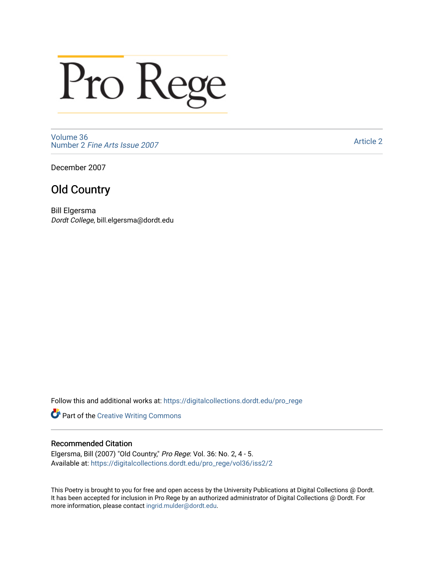## Pro Rege

[Volume 36](https://digitalcollections.dordt.edu/pro_rege/vol36) Number 2 [Fine Arts Issue 2007](https://digitalcollections.dordt.edu/pro_rege/vol36/iss2) 

[Article 2](https://digitalcollections.dordt.edu/pro_rege/vol36/iss2/2) 

December 2007

## Old Country

Bill Elgersma Dordt College, bill.elgersma@dordt.edu

Follow this and additional works at: [https://digitalcollections.dordt.edu/pro\\_rege](https://digitalcollections.dordt.edu/pro_rege?utm_source=digitalcollections.dordt.edu%2Fpro_rege%2Fvol36%2Fiss2%2F2&utm_medium=PDF&utm_campaign=PDFCoverPages) 

Part of the [Creative Writing Commons](http://network.bepress.com/hgg/discipline/574?utm_source=digitalcollections.dordt.edu%2Fpro_rege%2Fvol36%2Fiss2%2F2&utm_medium=PDF&utm_campaign=PDFCoverPages) 

## Recommended Citation

Elgersma, Bill (2007) "Old Country," Pro Rege: Vol. 36: No. 2, 4 - 5. Available at: [https://digitalcollections.dordt.edu/pro\\_rege/vol36/iss2/2](https://digitalcollections.dordt.edu/pro_rege/vol36/iss2/2?utm_source=digitalcollections.dordt.edu%2Fpro_rege%2Fvol36%2Fiss2%2F2&utm_medium=PDF&utm_campaign=PDFCoverPages) 

This Poetry is brought to you for free and open access by the University Publications at Digital Collections @ Dordt. It has been accepted for inclusion in Pro Rege by an authorized administrator of Digital Collections @ Dordt. For more information, please contact [ingrid.mulder@dordt.edu.](mailto:ingrid.mulder@dordt.edu)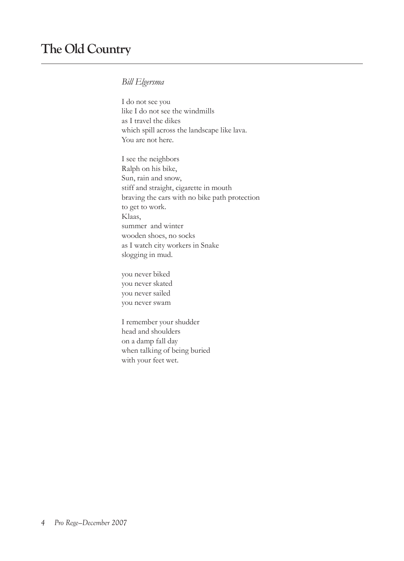## *Bill Elgersma*

I do not see you like I do not see the windmills as I travel the dikes which spill across the landscape like lava. You are not here.

I see the neighbors Ralph on his bike, Sun, rain and snow, stiff and straight, cigarette in mouth braving the cars with no bike path protection to get to work. Klaas, summer and winter wooden shoes, no socks as I watch city workers in Snake slogging in mud.

you never biked you never skated you never sailed you never swam

I remember your shudder head and shoulders on a damp fall day when talking of being buried with your feet wet.